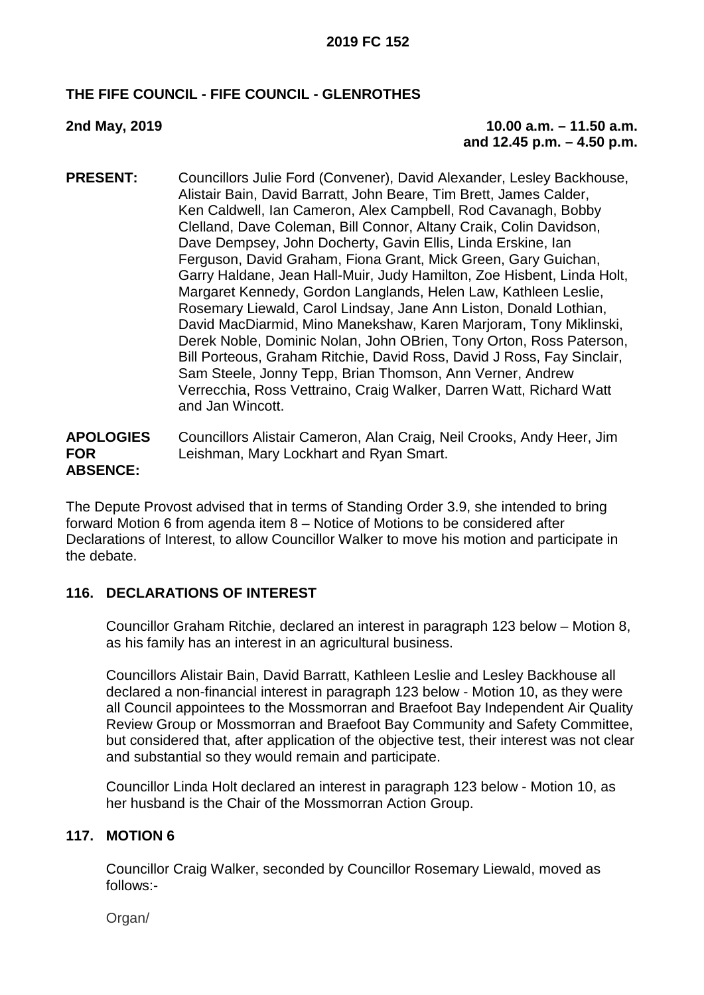### **THE FIFE COUNCIL - FIFE COUNCIL - GLENROTHES**

### **2nd May, 2019 10.00 a.m. – 11.50 a.m. and 12.45 p.m. – 4.50 p.m.**

**PRESENT:** Councillors Julie Ford (Convener), David Alexander, Lesley Backhouse, Alistair Bain, David Barratt, John Beare, Tim Brett, James Calder, Ken Caldwell, Ian Cameron, Alex Campbell, Rod Cavanagh, Bobby Clelland, Dave Coleman, Bill Connor, Altany Craik, Colin Davidson, Dave Dempsey, John Docherty, Gavin Ellis, Linda Erskine, Ian Ferguson, David Graham, Fiona Grant, Mick Green, Gary Guichan, Garry Haldane, Jean Hall-Muir, Judy Hamilton, Zoe Hisbent, Linda Holt, Margaret Kennedy, Gordon Langlands, Helen Law, Kathleen Leslie, Rosemary Liewald, Carol Lindsay, Jane Ann Liston, Donald Lothian, David MacDiarmid, Mino Manekshaw, Karen Marjoram, Tony Miklinski, Derek Noble, Dominic Nolan, John OBrien, Tony Orton, Ross Paterson, Bill Porteous, Graham Ritchie, David Ross, David J Ross, Fay Sinclair, Sam Steele, Jonny Tepp, Brian Thomson, Ann Verner, Andrew Verrecchia, Ross Vettraino, Craig Walker, Darren Watt, Richard Watt and Jan Wincott.

#### **APOLOGIES FOR ABSENCE:** Councillors Alistair Cameron, Alan Craig, Neil Crooks, Andy Heer, Jim Leishman, Mary Lockhart and Ryan Smart.

The Depute Provost advised that in terms of Standing Order 3.9, she intended to bring forward Motion 6 from agenda item 8 – Notice of Motions to be considered after Declarations of Interest, to allow Councillor Walker to move his motion and participate in the debate.

### **116. DECLARATIONS OF INTEREST**

Councillor Graham Ritchie, declared an interest in paragraph 123 below – Motion 8, as his family has an interest in an agricultural business.

Councillors Alistair Bain, David Barratt, Kathleen Leslie and Lesley Backhouse all declared a non-financial interest in paragraph 123 below - Motion 10, as they were all Council appointees to the Mossmorran and Braefoot Bay Independent Air Quality Review Group or Mossmorran and Braefoot Bay Community and Safety Committee, but considered that, after application of the objective test, their interest was not clear and substantial so they would remain and participate.

Councillor Linda Holt declared an interest in paragraph 123 below - Motion 10, as her husband is the Chair of the Mossmorran Action Group.

### **117. MOTION 6**

Councillor Craig Walker, seconded by Councillor Rosemary Liewald, moved as follows:-

Organ/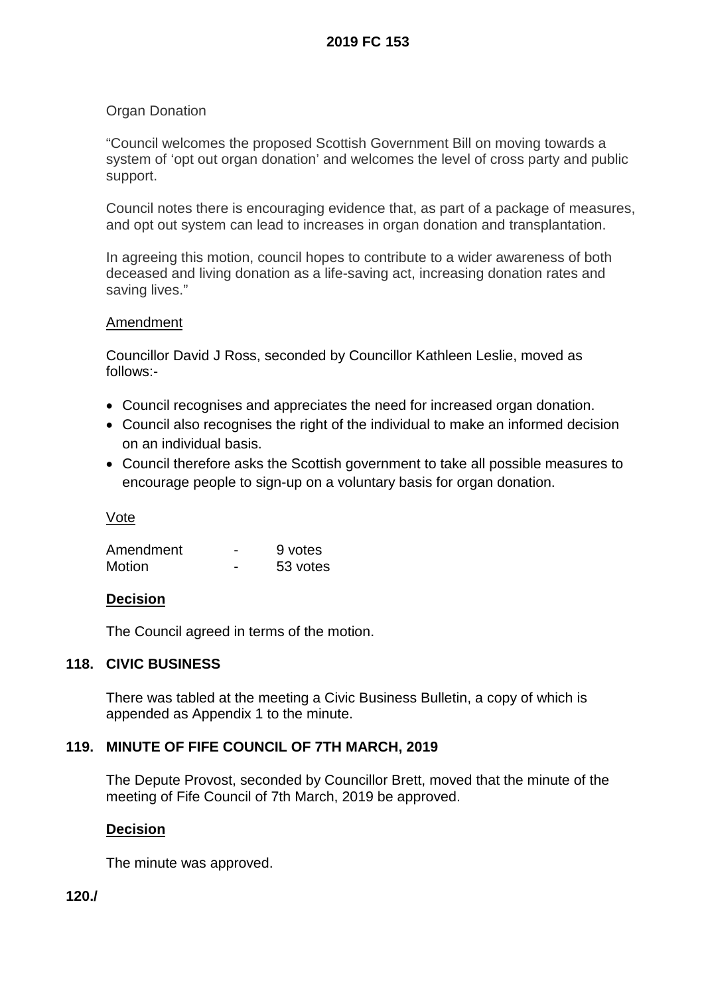### **Organ Donation**

"Council welcomes the proposed Scottish Government Bill on moving towards a system of 'opt out organ donation' and welcomes the level of cross party and public support.

Council notes there is encouraging evidence that, as part of a package of measures, and opt out system can lead to increases in organ donation and transplantation.

In agreeing this motion, council hopes to contribute to a wider awareness of both deceased and living donation as a life-saving act, increasing donation rates and saving lives."

#### **Amendment**

Councillor David J Ross, seconded by Councillor Kathleen Leslie, moved as follows:-

- Council recognises and appreciates the need for increased organ donation.
- Council also recognises the right of the individual to make an informed decision on an individual basis.
- Council therefore asks the Scottish government to take all possible measures to encourage people to sign-up on a voluntary basis for organ donation.

#### Vote

| Amendment     | 9 votes  |
|---------------|----------|
| <b>Motion</b> | 53 votes |

### **Decision**

The Council agreed in terms of the motion.

#### **118. CIVIC BUSINESS**

There was tabled at the meeting a Civic Business Bulletin, a copy of which is appended as Appendix 1 to the minute.

### **119. MINUTE OF FIFE COUNCIL OF 7TH MARCH, 2019**

The Depute Provost, seconded by Councillor Brett, moved that the minute of the meeting of Fife Council of 7th March, 2019 be approved.

#### **Decision**

The minute was approved.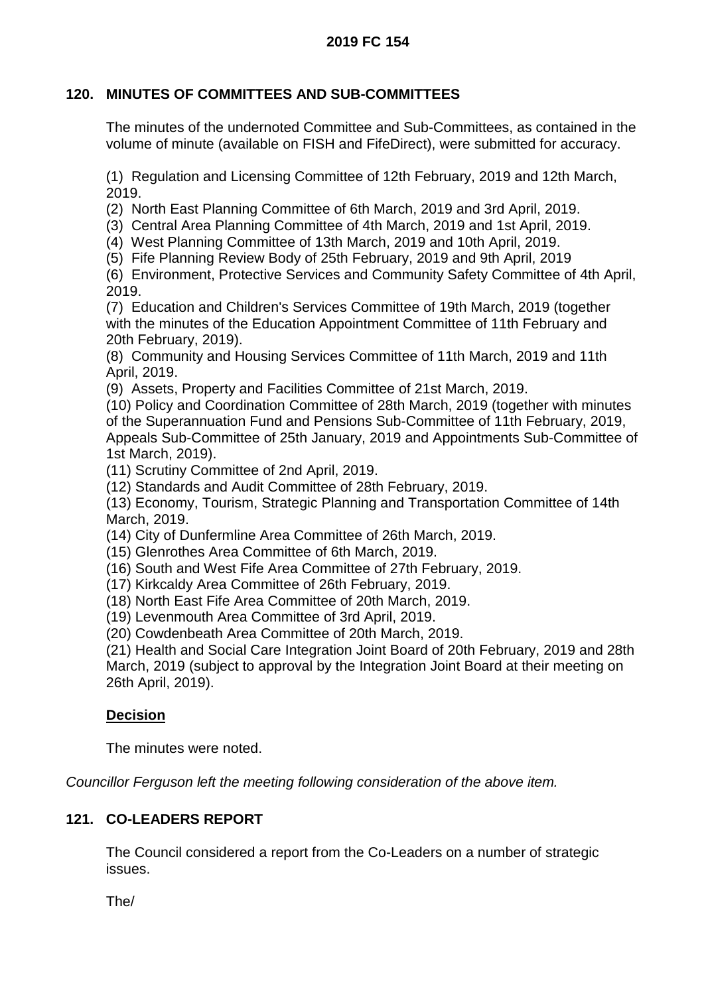### **2019 FC 154**

# **120. MINUTES OF COMMITTEES AND SUB-COMMITTEES**

The minutes of the undernoted Committee and Sub-Committees, as contained in the volume of minute (available on FISH and FifeDirect), were submitted for accuracy.

(1) Regulation and Licensing Committee of 12th February, 2019 and 12th March, 2019.

(2) North East Planning Committee of 6th March, 2019 and 3rd April, 2019.

(3) Central Area Planning Committee of 4th March, 2019 and 1st April, 2019.

(4) West Planning Committee of 13th March, 2019 and 10th April, 2019.

(5) Fife Planning Review Body of 25th February, 2019 and 9th April, 2019

(6) Environment, Protective Services and Community Safety Committee of 4th April, 2019.

(7) Education and Children's Services Committee of 19th March, 2019 (together with the minutes of the Education Appointment Committee of 11th February and 20th February, 2019).

(8) Community and Housing Services Committee of 11th March, 2019 and 11th April, 2019.

(9) Assets, Property and Facilities Committee of 21st March, 2019.

(10) Policy and Coordination Committee of 28th March, 2019 (together with minutes of the Superannuation Fund and Pensions Sub-Committee of 11th February, 2019, Appeals Sub-Committee of 25th January, 2019 and Appointments Sub-Committee of 1st March, 2019).

(11) Scrutiny Committee of 2nd April, 2019.

(12) Standards and Audit Committee of 28th February, 2019.

(13) Economy, Tourism, Strategic Planning and Transportation Committee of 14th March, 2019.

(14) City of Dunfermline Area Committee of 26th March, 2019.

(15) Glenrothes Area Committee of 6th March, 2019.

(16) South and West Fife Area Committee of 27th February, 2019.

(17) Kirkcaldy Area Committee of 26th February, 2019.

(18) North East Fife Area Committee of 20th March, 2019.

(19) Levenmouth Area Committee of 3rd April, 2019.

(20) Cowdenbeath Area Committee of 20th March, 2019.

(21) Health and Social Care Integration Joint Board of 20th February, 2019 and 28th March, 2019 (subject to approval by the Integration Joint Board at their meeting on 26th April, 2019).

### **Decision**

The minutes were noted.

*Councillor Ferguson left the meeting following consideration of the above item.*

### **121. CO-LEADERS REPORT**

The Council considered a report from the Co-Leaders on a number of strategic issues.

The/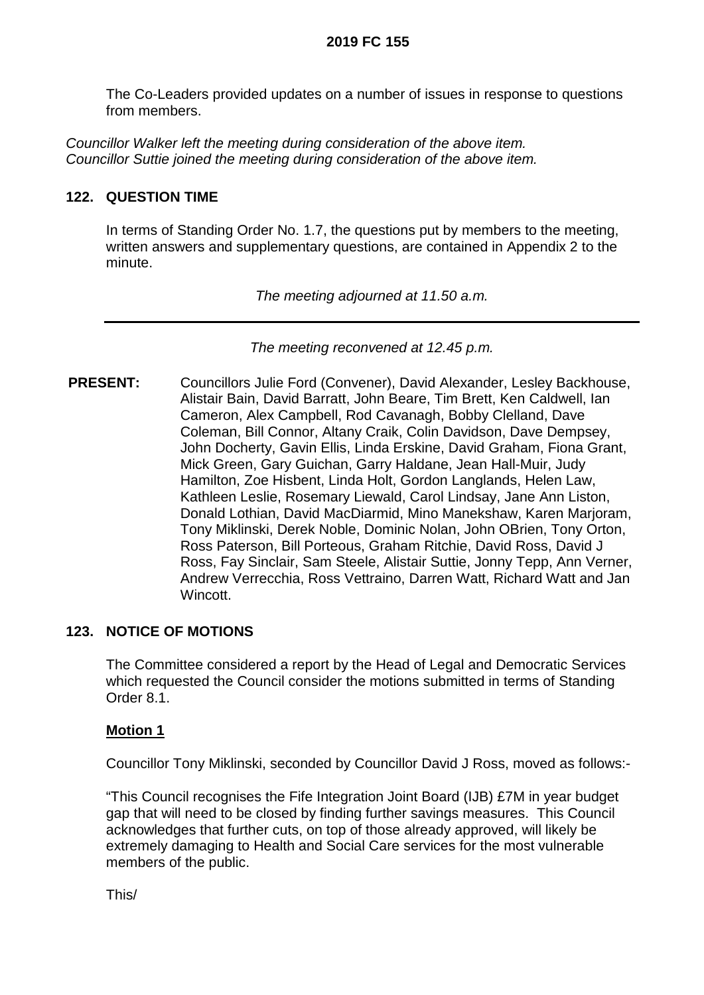The Co-Leaders provided updates on a number of issues in response to questions from members.

*Councillor Walker left the meeting during consideration of the above item. Councillor Suttie joined the meeting during consideration of the above item.*

# **122. QUESTION TIME**

In terms of Standing Order No. 1.7, the questions put by members to the meeting, written answers and supplementary questions, are contained in Appendix 2 to the minute.

*The meeting adjourned at 11.50 a.m.*

*The meeting reconvened at 12.45 p.m.*

**PRESENT:** Councillors Julie Ford (Convener), David Alexander, Lesley Backhouse, Alistair Bain, David Barratt, John Beare, Tim Brett, Ken Caldwell, Ian Cameron, Alex Campbell, Rod Cavanagh, Bobby Clelland, Dave Coleman, Bill Connor, Altany Craik, Colin Davidson, Dave Dempsey, John Docherty, Gavin Ellis, Linda Erskine, David Graham, Fiona Grant, Mick Green, Gary Guichan, Garry Haldane, Jean Hall-Muir, Judy Hamilton, Zoe Hisbent, Linda Holt, Gordon Langlands, Helen Law, Kathleen Leslie, Rosemary Liewald, Carol Lindsay, Jane Ann Liston, Donald Lothian, David MacDiarmid, Mino Manekshaw, Karen Marjoram, Tony Miklinski, Derek Noble, Dominic Nolan, John OBrien, Tony Orton, Ross Paterson, Bill Porteous, Graham Ritchie, David Ross, David J Ross, Fay Sinclair, Sam Steele, Alistair Suttie, Jonny Tepp, Ann Verner, Andrew Verrecchia, Ross Vettraino, Darren Watt, Richard Watt and Jan Wincott.

### **123. NOTICE OF MOTIONS**

The Committee considered a report by the Head of Legal and Democratic Services which requested the Council consider the motions submitted in terms of Standing Order 8.1.

### **Motion 1**

Councillor Tony Miklinski, seconded by Councillor David J Ross, moved as follows:-

"This Council recognises the Fife Integration Joint Board (IJB) £7M in year budget gap that will need to be closed by finding further savings measures. This Council acknowledges that further cuts, on top of those already approved, will likely be extremely damaging to Health and Social Care services for the most vulnerable members of the public.

This/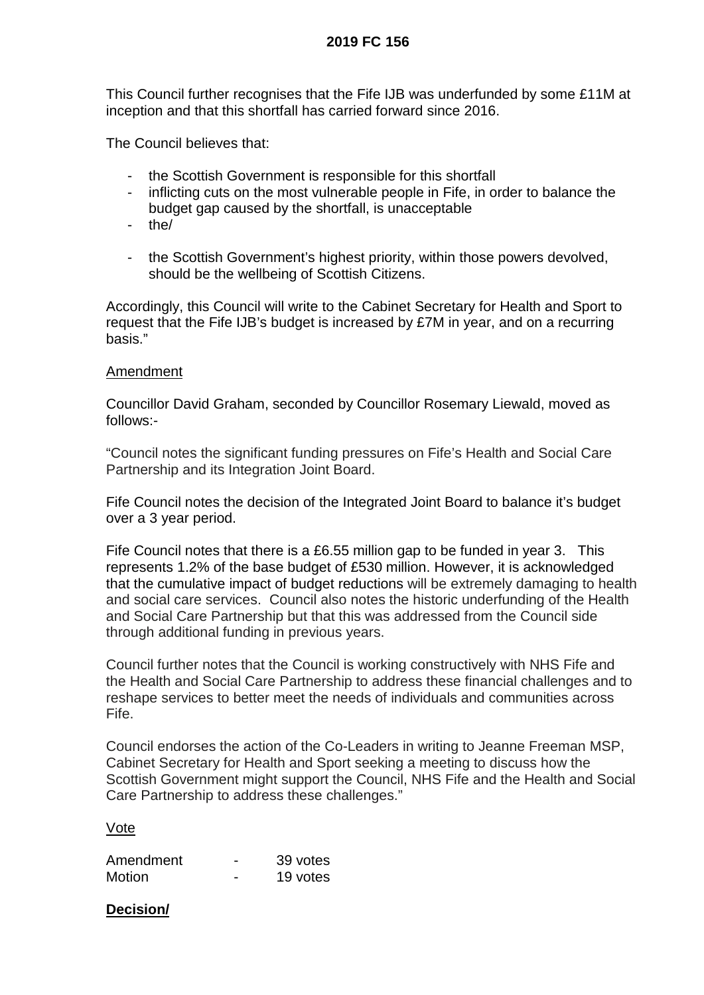### **2019 FC 156**

This Council further recognises that the Fife IJB was underfunded by some £11M at inception and that this shortfall has carried forward since 2016.

The Council believes that:

- the Scottish Government is responsible for this shortfall
- inflicting cuts on the most vulnerable people in Fife, in order to balance the budget gap caused by the shortfall, is unacceptable
- the/
- the Scottish Government's highest priority, within those powers devolved, should be the wellbeing of Scottish Citizens.

Accordingly, this Council will write to the Cabinet Secretary for Health and Sport to request that the Fife IJB's budget is increased by £7M in year, and on a recurring basis."

### Amendment

Councillor David Graham, seconded by Councillor Rosemary Liewald, moved as follows:-

"Council notes the significant funding pressures on Fife's Health and Social Care Partnership and its Integration Joint Board.

Fife Council notes the decision of the Integrated Joint Board to balance it's budget over a 3 year period.

Fife Council notes that there is a £6.55 million gap to be funded in year 3. This represents 1.2% of the base budget of £530 million. However, it is acknowledged that the cumulative impact of budget reductions will be extremely damaging to health and social care services. Council also notes the historic underfunding of the Health and Social Care Partnership but that this was addressed from the Council side through additional funding in previous years.

Council further notes that the Council is working constructively with NHS Fife and the Health and Social Care Partnership to address these financial challenges and to reshape services to better meet the needs of individuals and communities across Fife.

Council endorses the action of the Co-Leaders in writing to Jeanne Freeman MSP, Cabinet Secretary for Health and Sport seeking a meeting to discuss how the Scottish Government might support the Council, NHS Fife and the Health and Social Care Partnership to address these challenges."

#### Vote

| Amendment | 39 votes |
|-----------|----------|
| Motion    | 19 votes |

### **Decision/**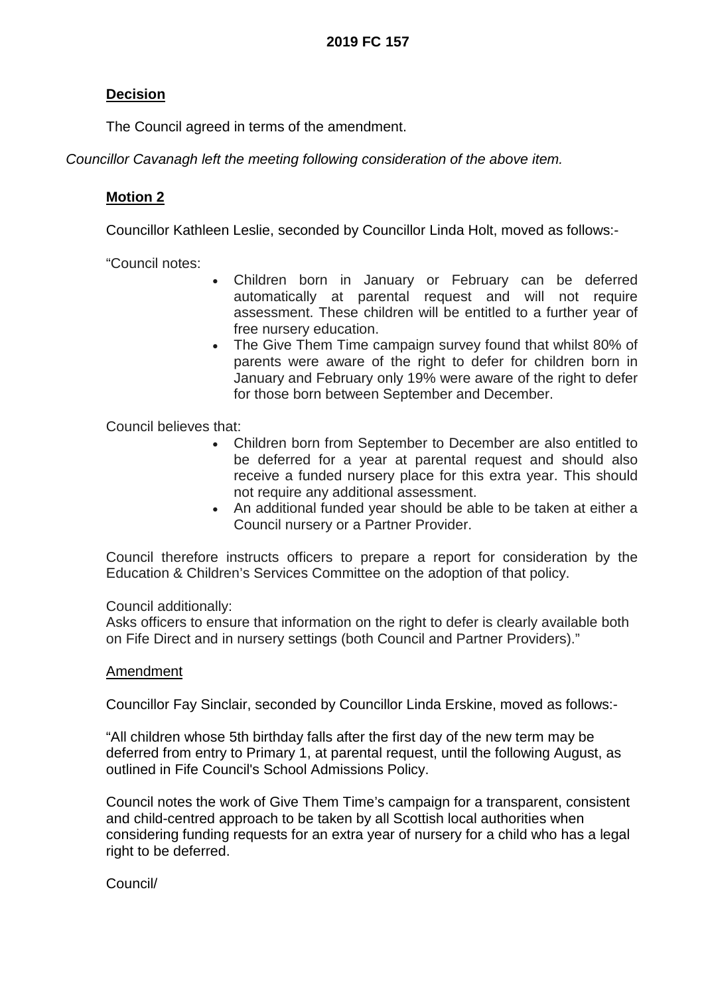### **Decision**

The Council agreed in terms of the amendment.

*Councillor Cavanagh left the meeting following consideration of the above item.*

### **Motion 2**

Councillor Kathleen Leslie, seconded by Councillor Linda Holt, moved as follows:-

"Council notes:

- Children born in January or February can be deferred automatically at parental request and will not require assessment. These children will be entitled to a further year of free nursery education.
- The Give Them Time campaign survey found that whilst 80% of parents were aware of the right to defer for children born in January and February only 19% were aware of the right to defer for those born between September and December.

Council believes that:

- Children born from September to December are also entitled to be deferred for a year at parental request and should also receive a funded nursery place for this extra year. This should not require any additional assessment.
- An additional funded year should be able to be taken at either a Council nursery or a Partner Provider.

Council therefore instructs officers to prepare a report for consideration by the Education & Children's Services Committee on the adoption of that policy.

Council additionally:

Asks officers to ensure that information on the right to defer is clearly available both on Fife Direct and in nursery settings (both Council and Partner Providers)."

### Amendment

Councillor Fay Sinclair, seconded by Councillor Linda Erskine, moved as follows:-

"All children whose 5th birthday falls after the first day of the new term may be deferred from entry to Primary 1, at parental request, until the following August, as outlined in Fife Council's School Admissions Policy.

Council notes the work of Give Them Time's campaign for a transparent, consistent and child-centred approach to be taken by all Scottish local authorities when considering funding requests for an extra year of nursery for a child who has a legal right to be deferred.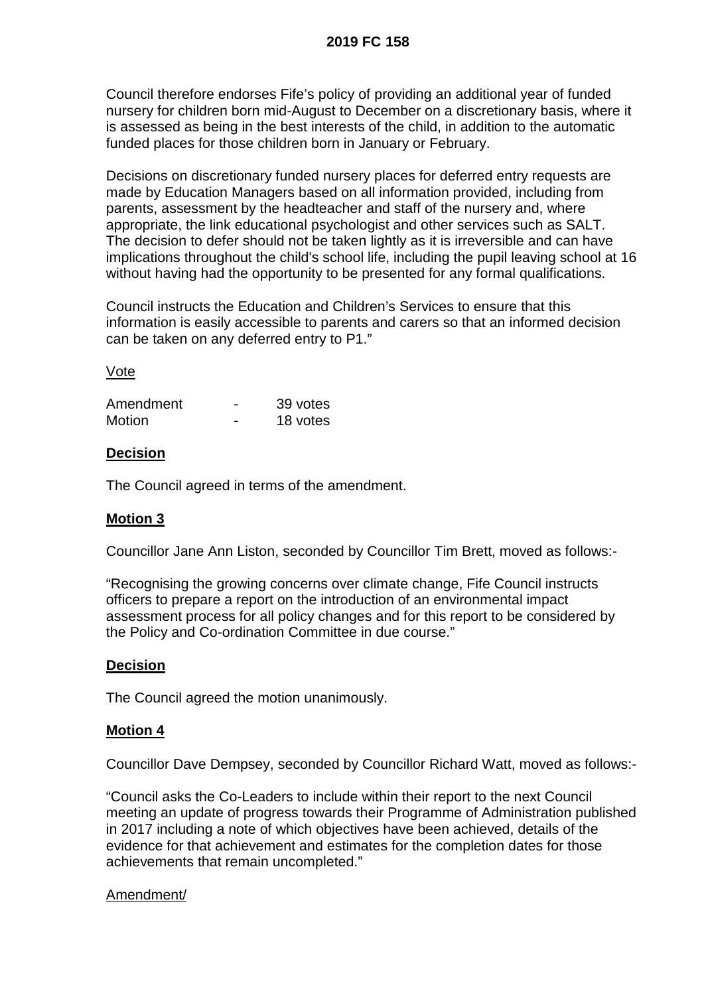Council therefore endorses Fife's policy of providing an additional year of funded nursery for children born mid-August to December on a discretionary basis, where it is assessed as being in the best interests of the child, in addition to the automatic funded places for those children born in January or February.

Decisions on discretionary funded nursery places for deferred entry requests are made by Education Managers based on all information provided, including from parents, assessment by the headteacher and staff of the nursery and, where appropriate, the link educational psychologist and other services such as SALT. The decision to defer should not be taken lightly as it is irreversible and can have implications throughout the child's school life, including the pupil leaving school at 16 without having had the opportunity to be presented for any formal qualifications.

Council instructs the Education and Children's Services to ensure that this information is easily accessible to parents and carers so that an informed decision can be taken on any deferred entry to P1."

### Vote

| Amendment | 39 votes |
|-----------|----------|
| Motion    | 18 votes |

### **Decision**

The Council agreed in terms of the amendment.

### **Motion 3**

Councillor Jane Ann Liston, seconded by Councillor Tim Brett, moved as follows:-

"Recognising the growing concerns over climate change, Fife Council instructs officers to prepare a report on the introduction of an environmental impact assessment process for all policy changes and for this report to be considered by the Policy and Co-ordination Committee in due course."

#### **Decision**

The Council agreed the motion unanimously.

### **Motion 4**

Councillor Dave Dempsey, seconded by Councillor Richard Watt, moved as follows:-

"Council asks the Co-Leaders to include within their report to the next Council meeting an update of progress towards their Programme of Administration published in 2017 including a note of which objectives have been achieved, details of the evidence for that achievement and estimates for the completion dates for those achievements that remain uncompleted."

#### Amendment/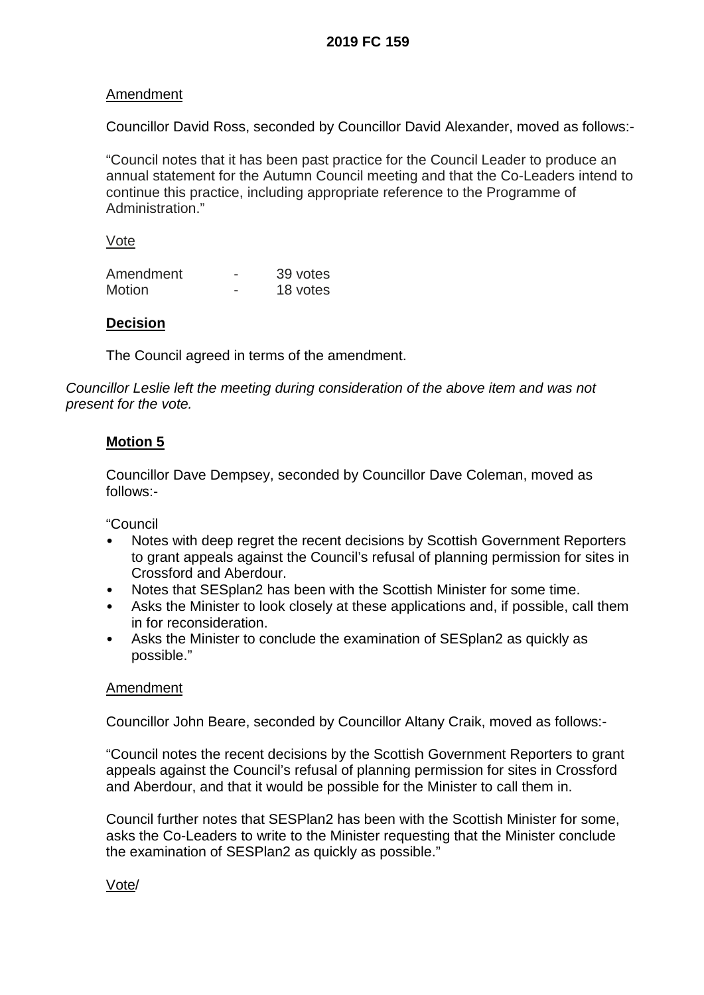### Amendment

Councillor David Ross, seconded by Councillor David Alexander, moved as follows:-

"Council notes that it has been past practice for the Council Leader to produce an annual statement for the Autumn Council meeting and that the Co-Leaders intend to continue this practice, including appropriate reference to the Programme of Administration."

Vote

| Amendment     | 39 votes |
|---------------|----------|
| <b>Motion</b> | 18 votes |

### **Decision**

The Council agreed in terms of the amendment.

*Councillor Leslie left the meeting during consideration of the above item and was not present for the vote.*

### **Motion 5**

Councillor Dave Dempsey, seconded by Councillor Dave Coleman, moved as follows:-

"Council

- Notes with deep regret the recent decisions by Scottish Government Reporters to grant appeals against the Council's refusal of planning permission for sites in Crossford and Aberdour.
- Notes that SESplan2 has been with the Scottish Minister for some time.
- Asks the Minister to look closely at these applications and, if possible, call them in for reconsideration.
- Asks the Minister to conclude the examination of SESplan2 as quickly as possible."

### Amendment

Councillor John Beare, seconded by Councillor Altany Craik, moved as follows:-

"Council notes the recent decisions by the Scottish Government Reporters to grant appeals against the Council's refusal of planning permission for sites in Crossford and Aberdour, and that it would be possible for the Minister to call them in.

Council further notes that SESPlan2 has been with the Scottish Minister for some, asks the Co-Leaders to write to the Minister requesting that the Minister conclude the examination of SESPlan2 as quickly as possible."

Vote/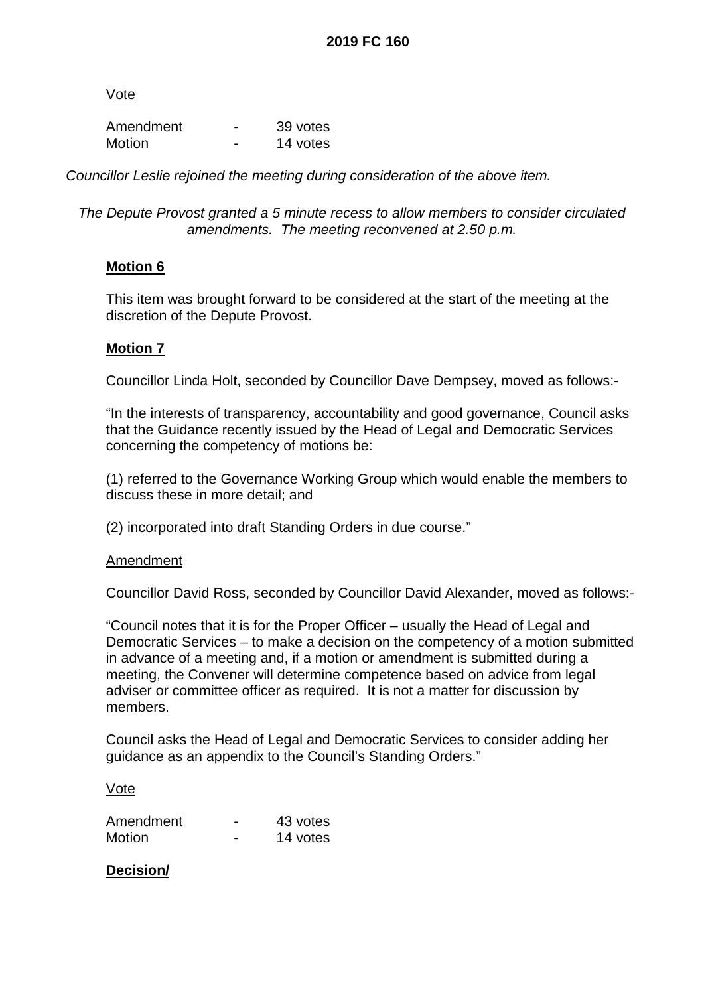Vote

| Amendment | 39 votes |
|-----------|----------|
| Motion    | 14 votes |

*Councillor Leslie rejoined the meeting during consideration of the above item.*

*The Depute Provost granted a 5 minute recess to allow members to consider circulated amendments. The meeting reconvened at 2.50 p.m.*

### **Motion 6**

This item was brought forward to be considered at the start of the meeting at the discretion of the Depute Provost.

### **Motion 7**

Councillor Linda Holt, seconded by Councillor Dave Dempsey, moved as follows:-

"In the interests of transparency, accountability and good governance, Council asks that the Guidance recently issued by the Head of Legal and Democratic Services concerning the competency of motions be:

(1) referred to the Governance Working Group which would enable the members to discuss these in more detail; and

(2) incorporated into draft Standing Orders in due course."

#### **Amendment**

Councillor David Ross, seconded by Councillor David Alexander, moved as follows:-

"Council notes that it is for the Proper Officer – usually the Head of Legal and Democratic Services – to make a decision on the competency of a motion submitted in advance of a meeting and, if a motion or amendment is submitted during a meeting, the Convener will determine competence based on advice from legal adviser or committee officer as required. It is not a matter for discussion by members.

Council asks the Head of Legal and Democratic Services to consider adding her guidance as an appendix to the Council's Standing Orders."

#### Vote

| Amendment     | 43 votes |
|---------------|----------|
| <b>Motion</b> | 14 votes |

### **Decision/**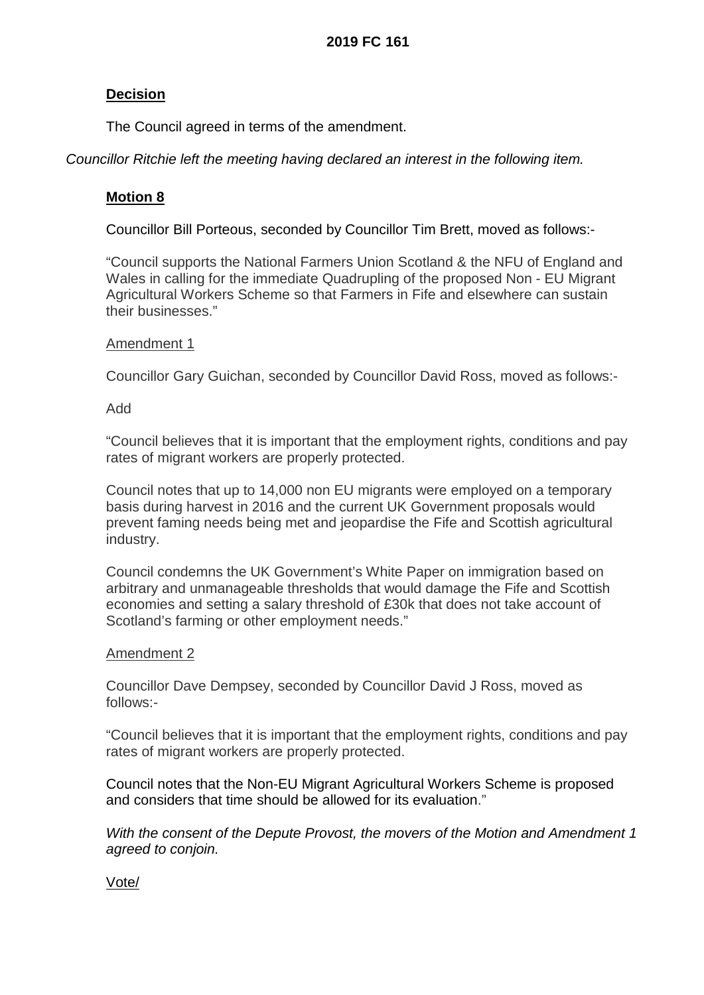### **Decision**

The Council agreed in terms of the amendment.

*Councillor Ritchie left the meeting having declared an interest in the following item.*

### **Motion 8**

Councillor Bill Porteous, seconded by Councillor Tim Brett, moved as follows:-

"Council supports the National Farmers Union Scotland & the NFU of England and Wales in calling for the immediate Quadrupling of the proposed Non - EU Migrant Agricultural Workers Scheme so that Farmers in Fife and elsewhere can sustain their businesses."

### Amendment 1

Councillor Gary Guichan, seconded by Councillor David Ross, moved as follows:-

#### Add

"Council believes that it is important that the employment rights, conditions and pay rates of migrant workers are properly protected.

Council notes that up to 14,000 non EU migrants were employed on a temporary basis during harvest in 2016 and the current UK Government proposals would prevent faming needs being met and jeopardise the Fife and Scottish agricultural industry.

Council condemns the UK Government's White Paper on immigration based on arbitrary and unmanageable thresholds that would damage the Fife and Scottish economies and setting a salary threshold of £30k that does not take account of Scotland's farming or other employment needs."

### Amendment 2

Councillor Dave Dempsey, seconded by Councillor David J Ross, moved as follows:-

"Council believes that it is important that the employment rights, conditions and pay rates of migrant workers are properly protected.

Council notes that the Non-EU Migrant Agricultural Workers Scheme is proposed and considers that time should be allowed for its evaluation."

*With the consent of the Depute Provost, the movers of the Motion and Amendment 1 agreed to conjoin.* 

### Vote/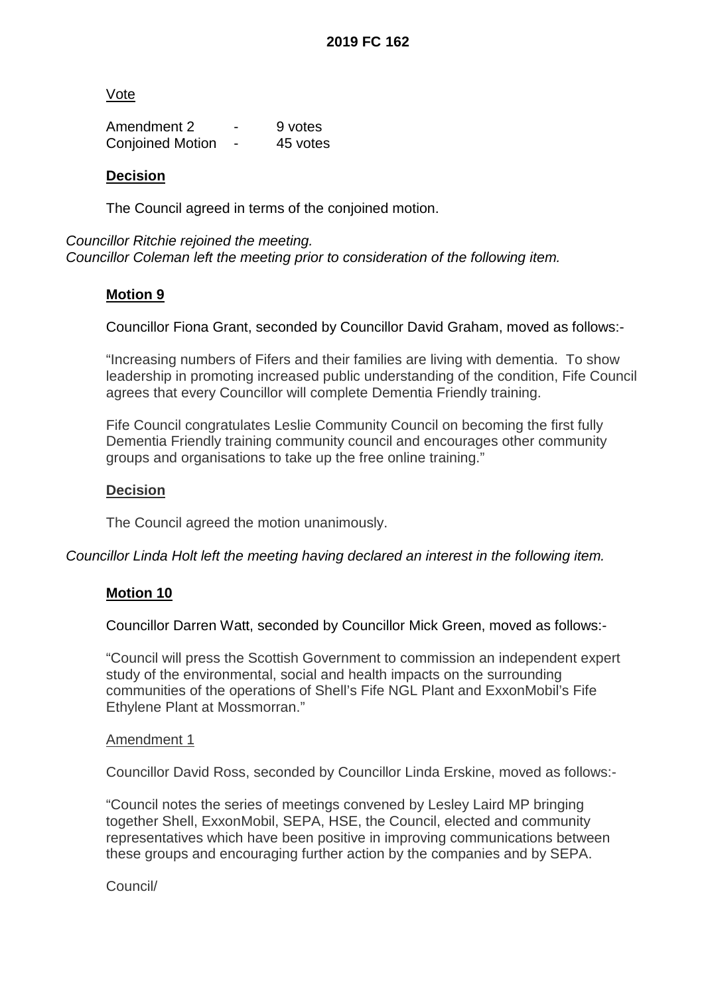Vote

Amendment 2 and 5 9 votes Conjoined Motion - 45 votes

### **Decision**

The Council agreed in terms of the conjoined motion.

*Councillor Ritchie rejoined the meeting. Councillor Coleman left the meeting prior to consideration of the following item.*

### **Motion 9**

Councillor Fiona Grant, seconded by Councillor David Graham, moved as follows:-

"Increasing numbers of Fifers and their families are living with dementia. To show leadership in promoting increased public understanding of the condition, Fife Council agrees that every Councillor will complete Dementia Friendly training.

Fife Council congratulates Leslie Community Council on becoming the first fully Dementia Friendly training community council and encourages other community groups and organisations to take up the free online training."

### **Decision**

The Council agreed the motion unanimously.

*Councillor Linda Holt left the meeting having declared an interest in the following item.*

### **Motion 10**

Councillor Darren Watt, seconded by Councillor Mick Green, moved as follows:-

"Council will press the Scottish Government to commission an independent expert study of the environmental, social and health impacts on the surrounding communities of the operations of Shell's Fife NGL Plant and ExxonMobil's Fife Ethylene Plant at Mossmorran."

#### Amendment 1

Councillor David Ross, seconded by Councillor Linda Erskine, moved as follows:-

"Council notes the series of meetings convened by Lesley Laird MP bringing together Shell, ExxonMobil, SEPA, HSE, the Council, elected and community representatives which have been positive in improving communications between these groups and encouraging further action by the companies and by SEPA.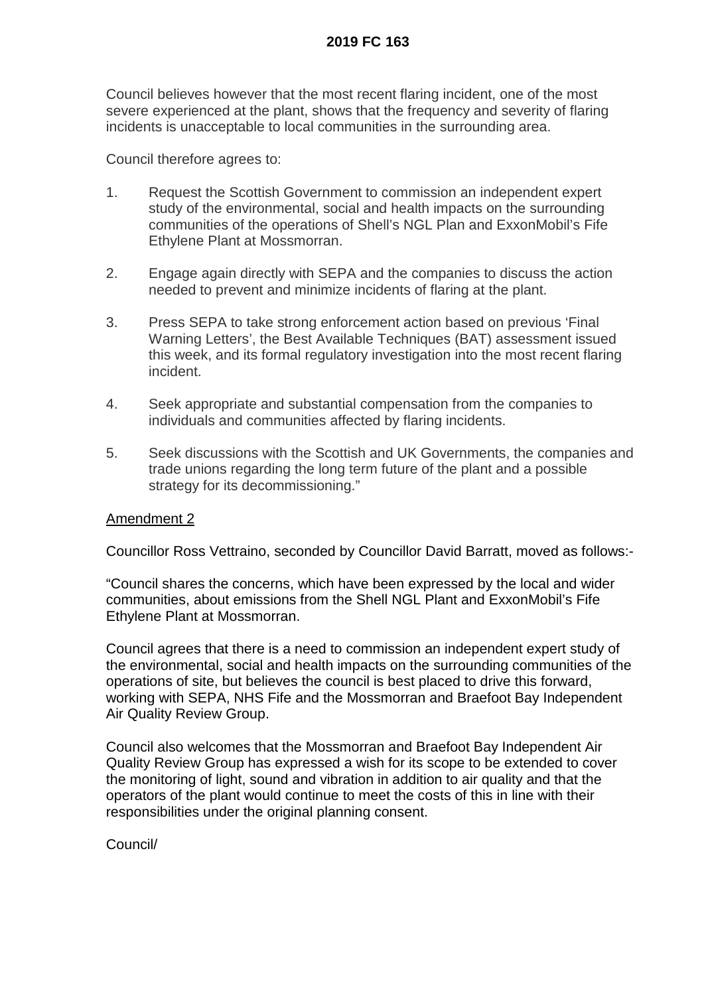Council believes however that the most recent flaring incident, one of the most severe experienced at the plant, shows that the frequency and severity of flaring incidents is unacceptable to local communities in the surrounding area.

Council therefore agrees to:

- 1. Request the Scottish Government to commission an independent expert study of the environmental, social and health impacts on the surrounding communities of the operations of Shell's NGL Plan and ExxonMobil's Fife Ethylene Plant at Mossmorran.
- 2. Engage again directly with SEPA and the companies to discuss the action needed to prevent and minimize incidents of flaring at the plant.
- 3. Press SEPA to take strong enforcement action based on previous 'Final Warning Letters', the Best Available Techniques (BAT) assessment issued this week, and its formal regulatory investigation into the most recent flaring incident.
- 4. Seek appropriate and substantial compensation from the companies to individuals and communities affected by flaring incidents.
- 5. Seek discussions with the Scottish and UK Governments, the companies and trade unions regarding the long term future of the plant and a possible strategy for its decommissioning."

### Amendment 2

Councillor Ross Vettraino, seconded by Councillor David Barratt, moved as follows:-

"Council shares the concerns, which have been expressed by the local and wider communities, about emissions from the Shell NGL Plant and ExxonMobil's Fife Ethylene Plant at Mossmorran.

Council agrees that there is a need to commission an independent expert study of the environmental, social and health impacts on the surrounding communities of the operations of site, but believes the council is best placed to drive this forward, working with SEPA, NHS Fife and the Mossmorran and Braefoot Bay Independent Air Quality Review Group.

Council also welcomes that the Mossmorran and Braefoot Bay Independent Air Quality Review Group has expressed a wish for its scope to be extended to cover the monitoring of light, sound and vibration in addition to air quality and that the operators of the plant would continue to meet the costs of this in line with their responsibilities under the original planning consent.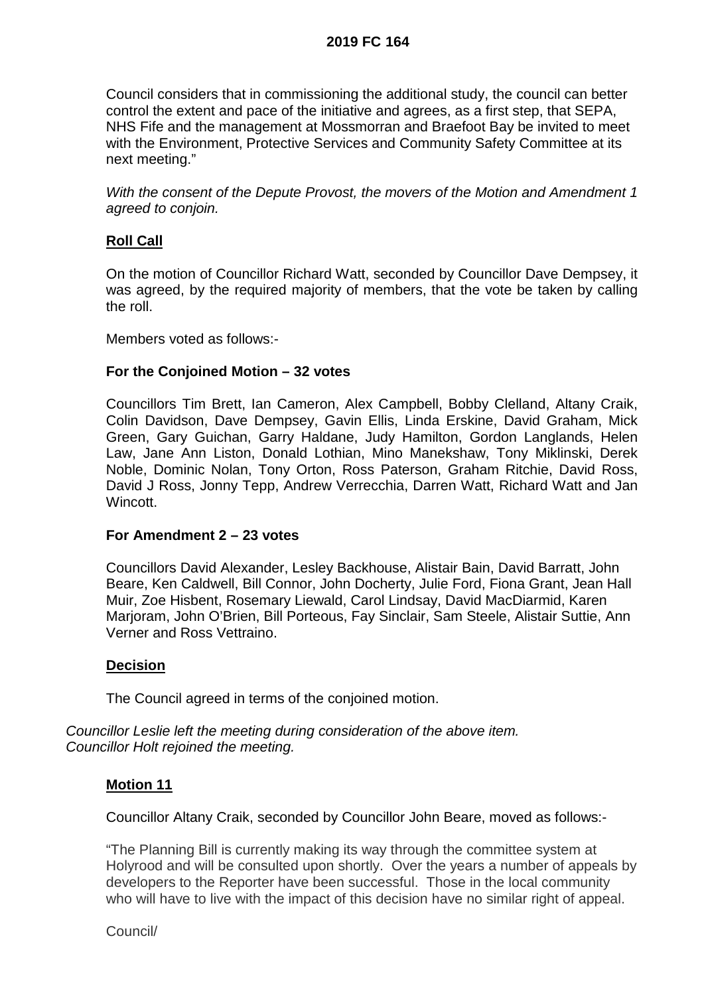Council considers that in commissioning the additional study, the council can better control the extent and pace of the initiative and agrees, as a first step, that SEPA, NHS Fife and the management at Mossmorran and Braefoot Bay be invited to meet with the Environment, Protective Services and Community Safety Committee at its next meeting."

*With the consent of the Depute Provost, the movers of the Motion and Amendment 1 agreed to conjoin.* 

### **Roll Call**

On the motion of Councillor Richard Watt, seconded by Councillor Dave Dempsey, it was agreed, by the required majority of members, that the vote be taken by calling the roll.

Members voted as follows:-

### **For the Conjoined Motion – 32 votes**

Councillors Tim Brett, Ian Cameron, Alex Campbell, Bobby Clelland, Altany Craik, Colin Davidson, Dave Dempsey, Gavin Ellis, Linda Erskine, David Graham, Mick Green, Gary Guichan, Garry Haldane, Judy Hamilton, Gordon Langlands, Helen Law, Jane Ann Liston, Donald Lothian, Mino Manekshaw, Tony Miklinski, Derek Noble, Dominic Nolan, Tony Orton, Ross Paterson, Graham Ritchie, David Ross, David J Ross, Jonny Tepp, Andrew Verrecchia, Darren Watt, Richard Watt and Jan **Wincott** 

### **For Amendment 2 – 23 votes**

Councillors David Alexander, Lesley Backhouse, Alistair Bain, David Barratt, John Beare, Ken Caldwell, Bill Connor, John Docherty, Julie Ford, Fiona Grant, Jean Hall Muir, Zoe Hisbent, Rosemary Liewald, Carol Lindsay, David MacDiarmid, Karen Marjoram, John O'Brien, Bill Porteous, Fay Sinclair, Sam Steele, Alistair Suttie, Ann Verner and Ross Vettraino.

#### **Decision**

The Council agreed in terms of the conjoined motion.

*Councillor Leslie left the meeting during consideration of the above item. Councillor Holt rejoined the meeting.*

### **Motion 11**

Councillor Altany Craik, seconded by Councillor John Beare, moved as follows:-

"The Planning Bill is currently making its way through the committee system at Holyrood and will be consulted upon shortly. Over the years a number of appeals by developers to the Reporter have been successful. Those in the local community who will have to live with the impact of this decision have no similar right of appeal.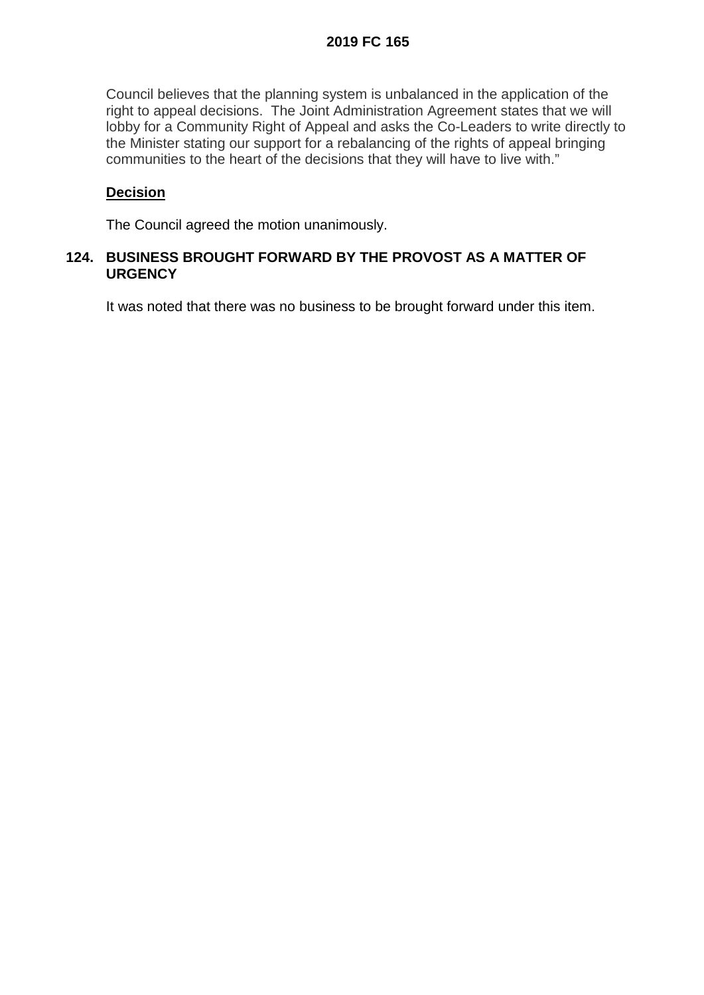Council believes that the planning system is unbalanced in the application of the right to appeal decisions. The Joint Administration Agreement states that we will lobby for a Community Right of Appeal and asks the Co-Leaders to write directly to the Minister stating our support for a rebalancing of the rights of appeal bringing communities to the heart of the decisions that they will have to live with."

### **Decision**

The Council agreed the motion unanimously.

### **124. BUSINESS BROUGHT FORWARD BY THE PROVOST AS A MATTER OF URGENCY**

It was noted that there was no business to be brought forward under this item.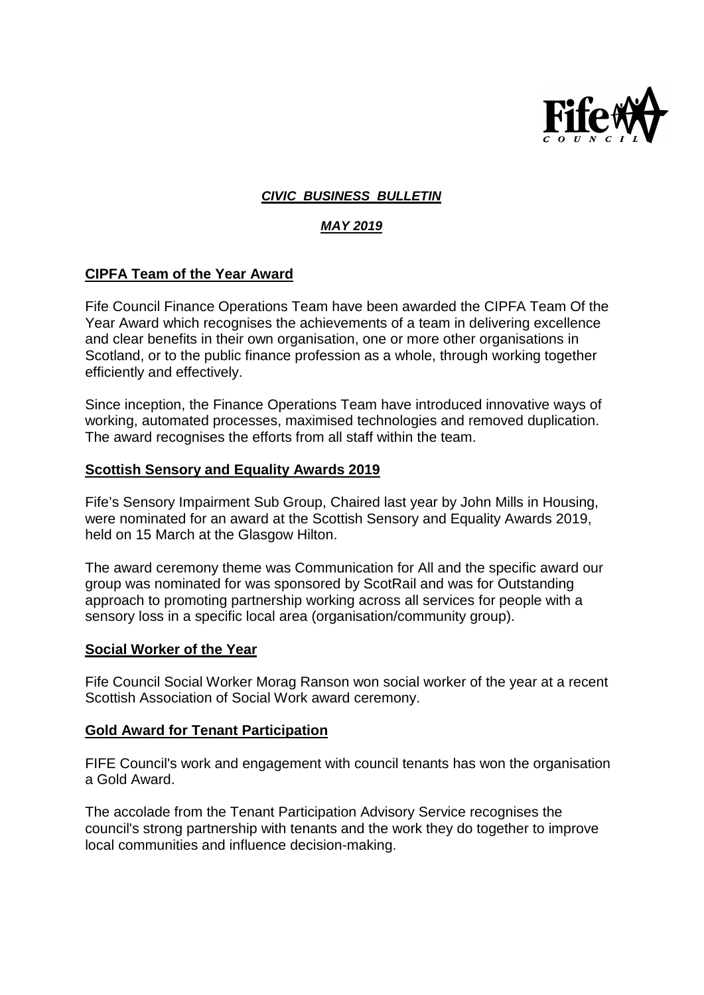

### *CIVIC BUSINESS BULLETIN*

### *MAY 2019*

### **CIPFA Team of the Year Award**

Fife Council Finance Operations Team have been awarded the CIPFA Team Of the Year Award which recognises the achievements of a team in delivering excellence and clear benefits in their own organisation, one or more other organisations in Scotland, or to the public finance profession as a whole, through working together efficiently and effectively.

Since inception, the Finance Operations Team have introduced innovative ways of working, automated processes, maximised technologies and removed duplication. The award recognises the efforts from all staff within the team.

### **Scottish Sensory and Equality Awards 2019**

Fife's Sensory Impairment Sub Group, Chaired last year by John Mills in Housing, were nominated for an award at the Scottish Sensory and Equality Awards 2019, held on 15 March at the Glasgow Hilton.

The award ceremony theme was Communication for All and the specific award our group was nominated for was sponsored by ScotRail and was for Outstanding approach to promoting partnership working across all services for people with a sensory loss in a specific local area (organisation/community group).

#### **Social Worker of the Year**

Fife Council Social Worker Morag Ranson won social worker of the year at a recent Scottish Association of Social Work award ceremony.

### **Gold Award for Tenant Participation**

FIFE Council's work and engagement with council tenants has won the organisation a Gold Award.

The accolade from the Tenant Participation Advisory Service recognises the council's strong partnership with tenants and the work they do together to improve local communities and influence decision-making.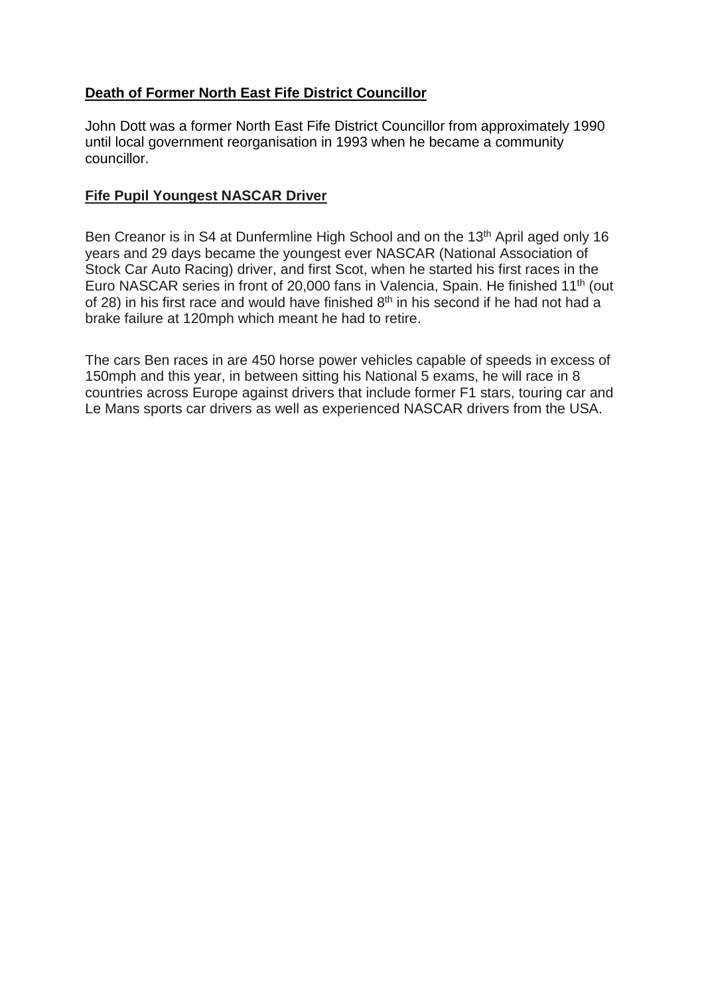# **Death of Former North East Fife District Councillor**

John Dott was a former North East Fife District Councillor from approximately 1990 until local government reorganisation in 1993 when he became a community councillor.

# **Fife Pupil Youngest NASCAR Driver**

Ben Creanor is in S4 at Dunfermline High School and on the 13<sup>th</sup> April aged only 16 years and 29 days became the youngest ever NASCAR (National Association of Stock Car Auto Racing) driver, and first Scot, when he started his first races in the Euro NASCAR series in front of 20,000 fans in Valencia, Spain. He finished 11th (out of 28) in his first race and would have finished  $8<sup>th</sup>$  in his second if he had not had a brake failure at 120mph which meant he had to retire.

The cars Ben races in are 450 horse power vehicles capable of speeds in excess of 150mph and this year, in between sitting his National 5 exams, he will race in 8 countries across Europe against drivers that include former F1 stars, touring car and Le Mans sports car drivers as well as experienced NASCAR drivers from the USA.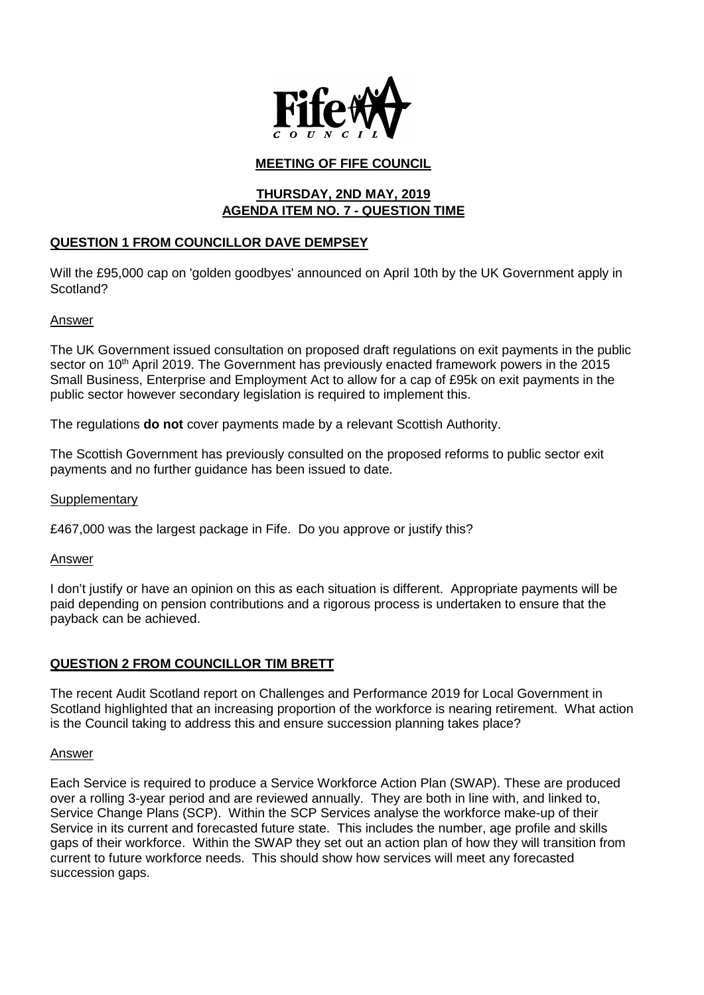

### **MEETING OF FIFE COUNCIL**

### **THURSDAY, 2ND MAY, 2019 AGENDA ITEM NO. 7 - QUESTION TIME**

### **QUESTION 1 FROM COUNCILLOR DAVE DEMPSEY**

Will the £95,000 cap on 'golden goodbyes' announced on April 10th by the UK Government apply in Scotland?

#### Answer

The UK Government issued consultation on proposed draft regulations on exit payments in the public sector on 10<sup>th</sup> April 2019. The Government has previously enacted framework powers in the 2015 Small Business, Enterprise and Employment Act to allow for a cap of £95k on exit payments in the public sector however secondary legislation is required to implement this.

The regulations **do not** cover payments made by a relevant Scottish Authority.

The Scottish Government has previously consulted on the proposed reforms to public sector exit payments and no further guidance has been issued to date.

#### **Supplementary**

£467,000 was the largest package in Fife. Do you approve or justify this?

Answer

I don't justify or have an opinion on this as each situation is different. Appropriate payments will be paid depending on pension contributions and a rigorous process is undertaken to ensure that the payback can be achieved.

#### **QUESTION 2 FROM COUNCILLOR TIM BRETT**

The recent Audit Scotland report on Challenges and Performance 2019 for Local Government in Scotland highlighted that an increasing proportion of the workforce is nearing retirement. What action is the Council taking to address this and ensure succession planning takes place?

#### Answer

Each Service is required to produce a Service Workforce Action Plan (SWAP). These are produced over a rolling 3-year period and are reviewed annually. They are both in line with, and linked to, Service Change Plans (SCP). Within the SCP Services analyse the workforce make-up of their Service in its current and forecasted future state. This includes the number, age profile and skills gaps of their workforce. Within the SWAP they set out an action plan of how they will transition from current to future workforce needs. This should show how services will meet any forecasted succession gaps.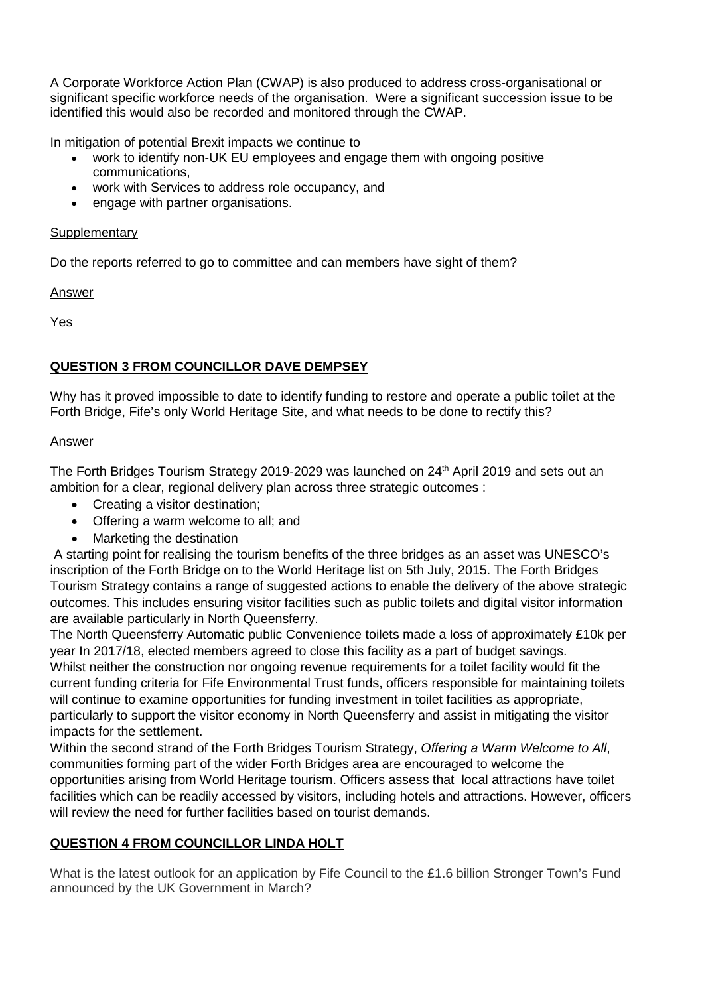A Corporate Workforce Action Plan (CWAP) is also produced to address cross-organisational or significant specific workforce needs of the organisation. Were a significant succession issue to be identified this would also be recorded and monitored through the CWAP.

In mitigation of potential Brexit impacts we continue to

- work to identify non-UK EU employees and engage them with ongoing positive communications,
- work with Services to address role occupancy, and
- engage with partner organisations.

### **Supplementary**

Do the reports referred to go to committee and can members have sight of them?

Answer

Yes

### **QUESTION 3 FROM COUNCILLOR DAVE DEMPSEY**

Why has it proved impossible to date to identify funding to restore and operate a public toilet at the Forth Bridge, Fife's only World Heritage Site, and what needs to be done to rectify this?

### Answer

The Forth Bridges Tourism Strategy 2019-2029 was launched on 24<sup>th</sup> April 2019 and sets out an ambition for a clear, regional delivery plan across three strategic outcomes :

- Creating a visitor destination;
- Offering a warm welcome to all; and
- Marketing the destination

A starting point for realising the tourism benefits of the three bridges as an asset was UNESCO's inscription of the Forth Bridge on to the World Heritage list on 5th July, 2015. The Forth Bridges Tourism Strategy contains a range of suggested actions to enable the delivery of the above strategic outcomes. This includes ensuring visitor facilities such as public toilets and digital visitor information are available particularly in North Queensferry.

The North Queensferry Automatic public Convenience toilets made a loss of approximately £10k per year In 2017/18, elected members agreed to close this facility as a part of budget savings. Whilst neither the construction nor ongoing revenue requirements for a toilet facility would fit the current funding criteria for Fife Environmental Trust funds, officers responsible for maintaining toilets will continue to examine opportunities for funding investment in toilet facilities as appropriate, particularly to support the visitor economy in North Queensferry and assist in mitigating the visitor impacts for the settlement.

Within the second strand of the Forth Bridges Tourism Strategy, *Offering a Warm Welcome to All*, communities forming part of the wider Forth Bridges area are encouraged to welcome the opportunities arising from World Heritage tourism. Officers assess that local attractions have toilet facilities which can be readily accessed by visitors, including hotels and attractions. However, officers will review the need for further facilities based on tourist demands.

### **QUESTION 4 FROM COUNCILLOR LINDA HOLT**

What is the latest outlook for an application by Fife Council to the £1.6 billion Stronger Town's Fund announced by the UK Government in March?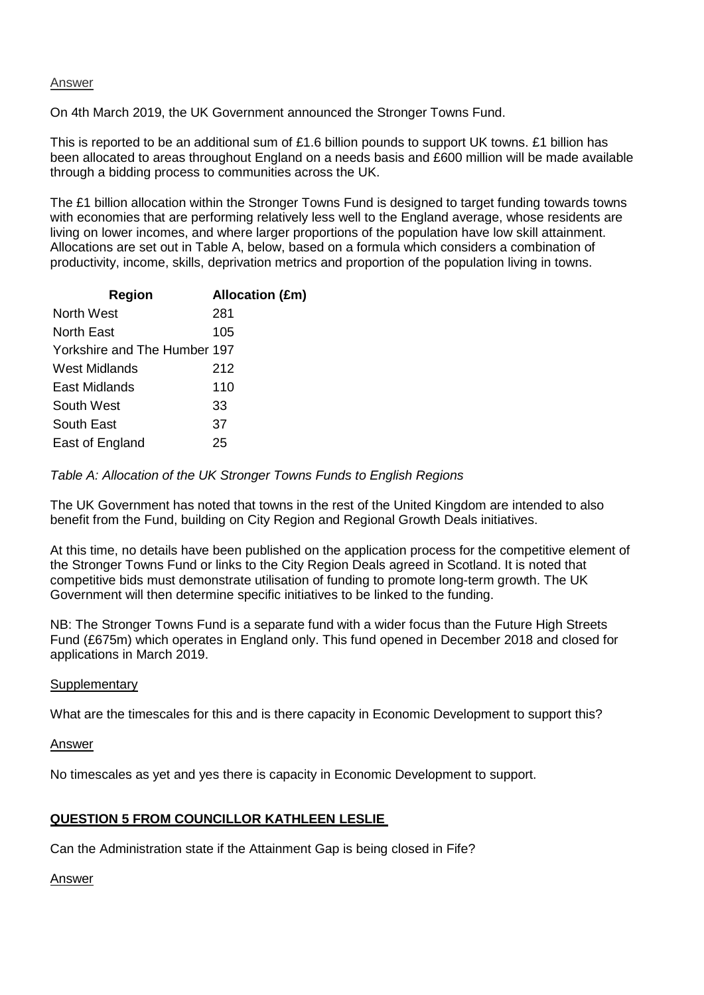#### **Answer**

On 4th March 2019, the UK Government announced the Stronger Towns Fund.

This is reported to be an additional sum of £1.6 billion pounds to support UK towns. £1 billion has been allocated to areas throughout England on a needs basis and £600 million will be made available through a bidding process to communities across the UK.

The £1 billion allocation within the Stronger Towns Fund is designed to target funding towards towns with economies that are performing relatively less well to the England average, whose residents are living on lower incomes, and where larger proportions of the population have low skill attainment. Allocations are set out in Table A, below, based on a formula which considers a combination of productivity, income, skills, deprivation metrics and proportion of the population living in towns.

| <b>Region</b>                | <b>Allocation (£m)</b> |
|------------------------------|------------------------|
| North West                   | 281                    |
| North East                   | 105                    |
| Yorkshire and The Humber 197 |                        |
| West Midlands                | 212                    |
| East Midlands                | 110                    |
| South West                   | 33                     |
| South East                   | 37                     |
| East of England              | 25                     |
|                              |                        |

*Table A: Allocation of the UK Stronger Towns Funds to English Regions*

The UK Government has noted that towns in the rest of the United Kingdom are intended to also benefit from the Fund, building on City Region and Regional Growth Deals initiatives.

At this time, no details have been published on the application process for the competitive element of the Stronger Towns Fund or links to the City Region Deals agreed in Scotland. It is noted that competitive bids must demonstrate utilisation of funding to promote long-term growth. The UK Government will then determine specific initiatives to be linked to the funding.

NB: The Stronger Towns Fund is a separate fund with a wider focus than the Future High Streets Fund (£675m) which operates in England only. This fund opened in December 2018 and closed for applications in March 2019.

#### **Supplementary**

What are the timescales for this and is there capacity in Economic Development to support this?

#### Answer

No timescales as yet and yes there is capacity in Economic Development to support.

#### **QUESTION 5 FROM COUNCILLOR KATHLEEN LESLIE**

Can the Administration state if the Attainment Gap is being closed in Fife?

#### Answer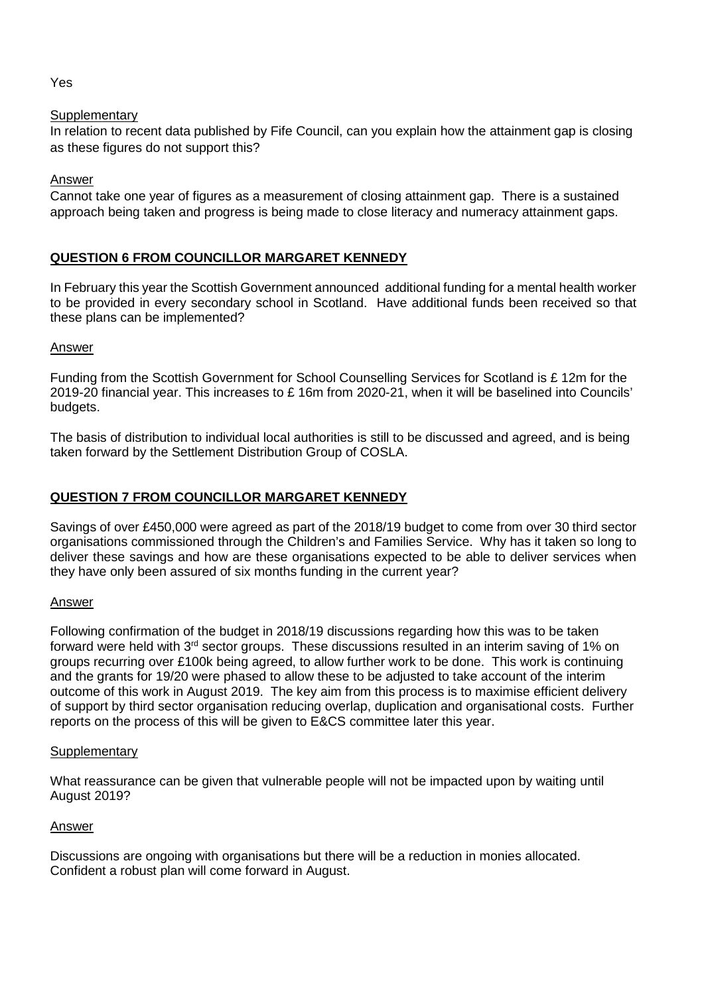### Yes

### **Supplementary**

In relation to recent data published by Fife Council, can you explain how the attainment gap is closing as these figures do not support this?

### Answer

Cannot take one year of figures as a measurement of closing attainment gap. There is a sustained approach being taken and progress is being made to close literacy and numeracy attainment gaps.

### **QUESTION 6 FROM COUNCILLOR MARGARET KENNEDY**

In February this year the Scottish Government announced additional funding for a mental health worker to be provided in every secondary school in Scotland. Have additional funds been received so that these plans can be implemented?

### Answer

Funding from the Scottish Government for School Counselling Services for Scotland is £ 12m for the 2019-20 financial year. This increases to £ 16m from 2020-21, when it will be baselined into Councils' budgets.

The basis of distribution to individual local authorities is still to be discussed and agreed, and is being taken forward by the Settlement Distribution Group of COSLA.

### **QUESTION 7 FROM COUNCILLOR MARGARET KENNEDY**

Savings of over £450,000 were agreed as part of the 2018/19 budget to come from over 30 third sector organisations commissioned through the Children's and Families Service. Why has it taken so long to deliver these savings and how are these organisations expected to be able to deliver services when they have only been assured of six months funding in the current year?

### Answer

Following confirmation of the budget in 2018/19 discussions regarding how this was to be taken forward were held with 3<sup>rd</sup> sector groups. These discussions resulted in an interim saving of 1% on groups recurring over £100k being agreed, to allow further work to be done. This work is continuing and the grants for 19/20 were phased to allow these to be adjusted to take account of the interim outcome of this work in August 2019. The key aim from this process is to maximise efficient delivery of support by third sector organisation reducing overlap, duplication and organisational costs. Further reports on the process of this will be given to E&CS committee later this year.

#### **Supplementary**

What reassurance can be given that vulnerable people will not be impacted upon by waiting until August 2019?

#### Answer

Discussions are ongoing with organisations but there will be a reduction in monies allocated. Confident a robust plan will come forward in August.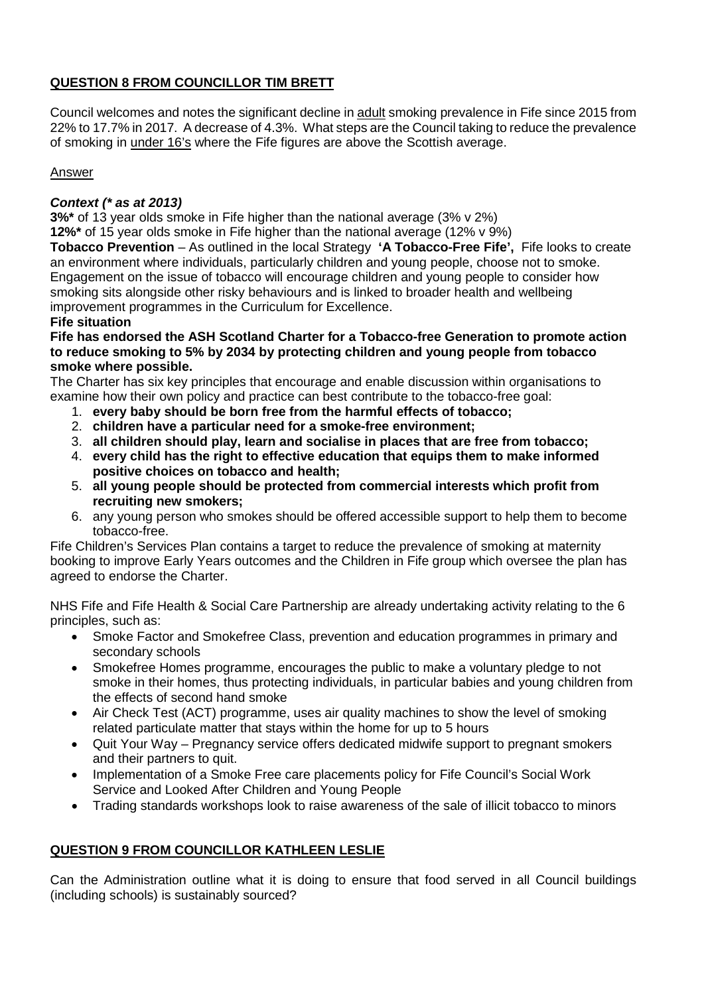### **QUESTION 8 FROM COUNCILLOR TIM BRETT**

Council welcomes and notes the significant decline in adult smoking prevalence in Fife since 2015 from 22% to 17.7% in 2017. A decrease of 4.3%. What steps are the Council taking to reduce the prevalence of smoking in under 16's where the Fife figures are above the Scottish average.

### Answer

### *Context (\* as at 2013)*

**3%\*** of 13 year olds smoke in Fife higher than the national average (3% v 2%)

**12%\*** of 15 year olds smoke in Fife higher than the national average (12% v 9%) **Tobacco Prevention** – As outlined in the local Strategy **'A Tobacco-Free Fife',** Fife looks to create

an environment where individuals, particularly children and young people, choose not to smoke. Engagement on the issue of tobacco will encourage children and young people to consider how smoking sits alongside other risky behaviours and is linked to broader health and wellbeing improvement programmes in the Curriculum for Excellence.

### **Fife situation**

**Fife has endorsed the ASH Scotland Charter for a Tobacco-free Generation to promote action to reduce smoking to 5% by 2034 by protecting children and young people from tobacco smoke where possible.**

The Charter has six key principles that encourage and enable discussion within organisations to examine how their own policy and practice can best contribute to the tobacco-free goal:

- 1. **every baby should be born free from the harmful effects of tobacco;**
- 2. **children have a particular need for a smoke-free environment;**
- 3. **all children should play, learn and socialise in places that are free from tobacco;**
- 4. **every child has the right to effective education that equips them to make informed positive choices on tobacco and health;**
- 5. **all young people should be protected from commercial interests which profit from recruiting new smokers;**
- 6. any young person who smokes should be offered accessible support to help them to become tobacco-free.

Fife Children's Services Plan contains a target to reduce the prevalence of smoking at maternity booking to improve Early Years outcomes and the Children in Fife group which oversee the plan has agreed to endorse the Charter.

NHS Fife and Fife Health & Social Care Partnership are already undertaking activity relating to the 6 principles, such as:

- Smoke Factor and Smokefree Class, prevention and education programmes in primary and secondary schools
- Smokefree Homes programme, encourages the public to make a voluntary pledge to not smoke in their homes, thus protecting individuals, in particular babies and young children from the effects of second hand smoke
- Air Check Test (ACT) programme, uses air quality machines to show the level of smoking related particulate matter that stays within the home for up to 5 hours
- Quit Your Way Pregnancy service offers dedicated midwife support to pregnant smokers and their partners to quit.
- Implementation of a Smoke Free care placements policy for Fife Council's Social Work Service and Looked After Children and Young People
- Trading standards workshops look to raise awareness of the sale of illicit tobacco to minors

### **QUESTION 9 FROM COUNCILLOR KATHLEEN LESLIE**

Can the Administration outline what it is doing to ensure that food served in all Council buildings (including schools) is sustainably sourced?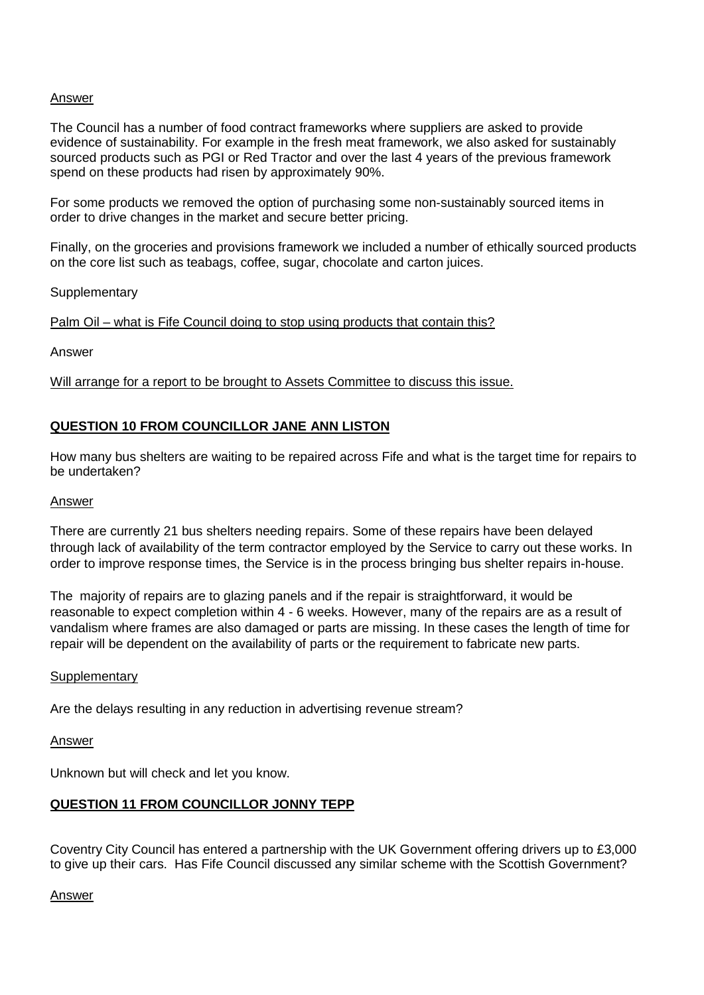#### Answer

The Council has a number of food contract frameworks where suppliers are asked to provide evidence of sustainability. For example in the fresh meat framework, we also asked for sustainably sourced products such as PGI or Red Tractor and over the last 4 years of the previous framework spend on these products had risen by approximately 90%.

For some products we removed the option of purchasing some non-sustainably sourced items in order to drive changes in the market and secure better pricing.

Finally, on the groceries and provisions framework we included a number of ethically sourced products on the core list such as teabags, coffee, sugar, chocolate and carton juices.

**Supplementary** 

Palm Oil – what is Fife Council doing to stop using products that contain this?

Answer

Will arrange for a report to be brought to Assets Committee to discuss this issue.

#### **QUESTION 10 FROM COUNCILLOR JANE ANN LISTON**

How many bus shelters are waiting to be repaired across Fife and what is the target time for repairs to be undertaken?

#### Answer

There are currently 21 bus shelters needing repairs. Some of these repairs have been delayed through lack of availability of the term contractor employed by the Service to carry out these works. In order to improve response times, the Service is in the process bringing bus shelter repairs in-house.

The majority of repairs are to glazing panels and if the repair is straightforward, it would be reasonable to expect completion within 4 - 6 weeks. However, many of the repairs are as a result of vandalism where frames are also damaged or parts are missing. In these cases the length of time for repair will be dependent on the availability of parts or the requirement to fabricate new parts.

#### **Supplementary**

Are the delays resulting in any reduction in advertising revenue stream?

Answer

Unknown but will check and let you know.

#### **QUESTION 11 FROM COUNCILLOR JONNY TEPP**

Coventry City Council has entered a partnership with the UK Government offering drivers up to £3,000 to give up their cars. Has Fife Council discussed any similar scheme with the Scottish Government?

#### Answer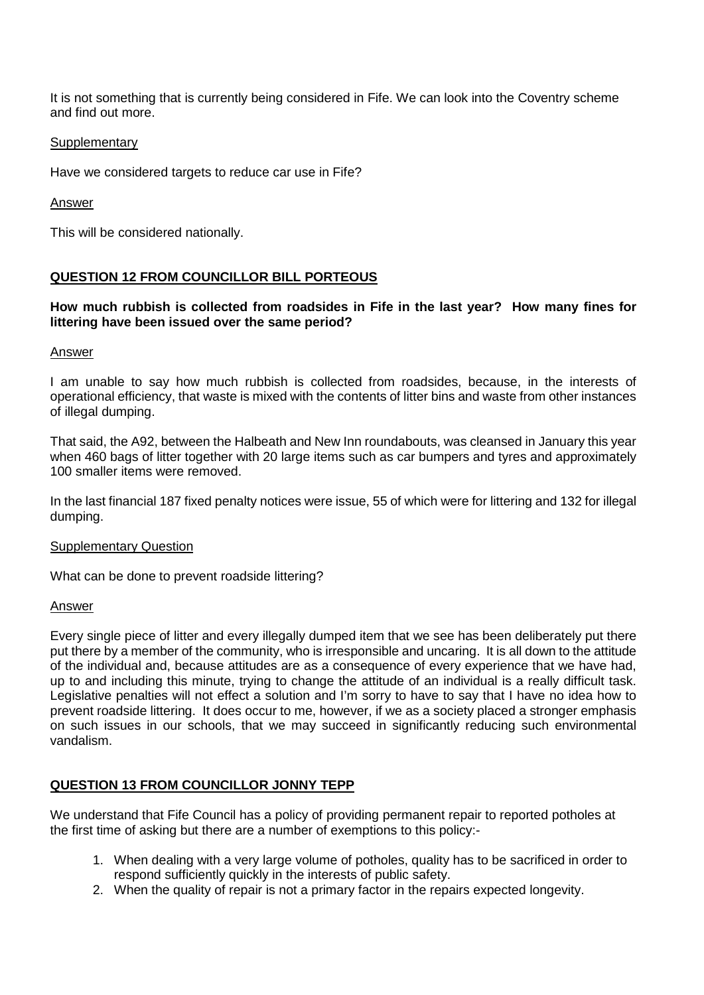It is not something that is currently being considered in Fife. We can look into the Coventry scheme and find out more.

#### **Supplementary**

Have we considered targets to reduce car use in Fife?

Answer

This will be considered nationally.

### **QUESTION 12 FROM COUNCILLOR BILL PORTEOUS**

#### **How much rubbish is collected from roadsides in Fife in the last year? How many fines for littering have been issued over the same period?**

#### Answer

I am unable to say how much rubbish is collected from roadsides, because, in the interests of operational efficiency, that waste is mixed with the contents of litter bins and waste from other instances of illegal dumping.

That said, the A92, between the Halbeath and New Inn roundabouts, was cleansed in January this year when 460 bags of litter together with 20 large items such as car bumpers and tyres and approximately 100 smaller items were removed.

In the last financial 187 fixed penalty notices were issue, 55 of which were for littering and 132 for illegal dumping.

#### Supplementary Question

What can be done to prevent roadside littering?

#### Answer

Every single piece of litter and every illegally dumped item that we see has been deliberately put there put there by a member of the community, who is irresponsible and uncaring. It is all down to the attitude of the individual and, because attitudes are as a consequence of every experience that we have had, up to and including this minute, trying to change the attitude of an individual is a really difficult task. Legislative penalties will not effect a solution and I'm sorry to have to say that I have no idea how to prevent roadside littering. It does occur to me, however, if we as a society placed a stronger emphasis on such issues in our schools, that we may succeed in significantly reducing such environmental vandalism.

### **QUESTION 13 FROM COUNCILLOR JONNY TEPP**

We understand that Fife Council has a policy of providing permanent repair to reported potholes at the first time of asking but there are a number of exemptions to this policy:-

- 1. When dealing with a very large volume of potholes, quality has to be sacrificed in order to respond sufficiently quickly in the interests of public safety.
- 2. When the quality of repair is not a primary factor in the repairs expected longevity.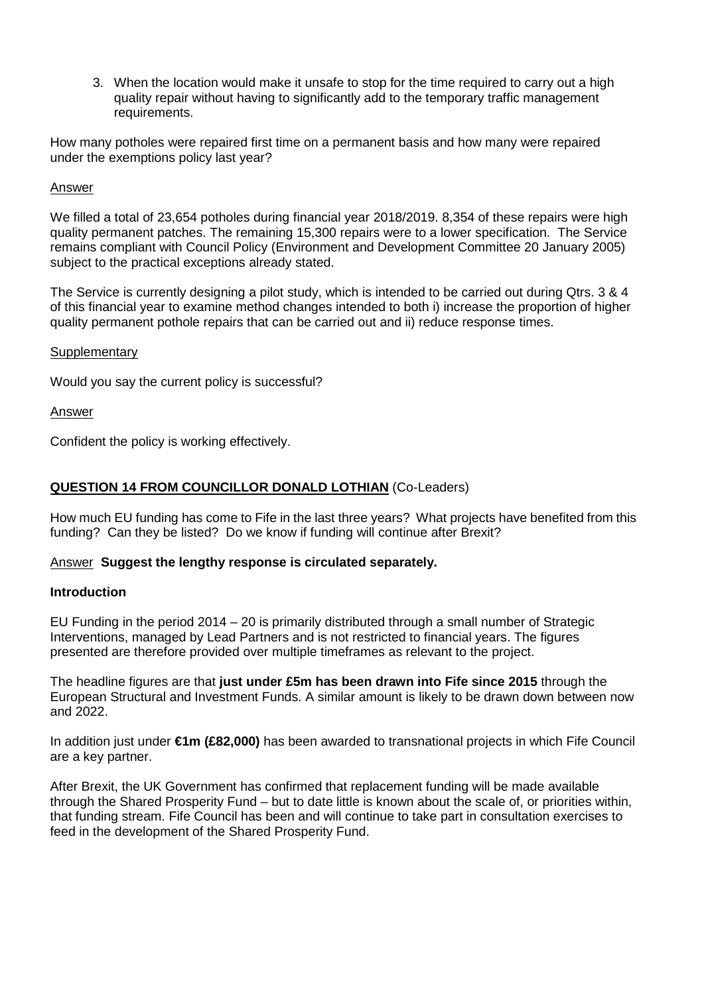3. When the location would make it unsafe to stop for the time required to carry out a high quality repair without having to significantly add to the temporary traffic management requirements.

How many potholes were repaired first time on a permanent basis and how many were repaired under the exemptions policy last year?

#### Answer

We filled a total of 23,654 potholes during financial year 2018/2019. 8,354 of these repairs were high quality permanent patches. The remaining 15,300 repairs were to a lower specification. The Service remains compliant with Council Policy (Environment and Development Committee 20 January 2005) subject to the practical exceptions already stated.

The Service is currently designing a pilot study, which is intended to be carried out during Qtrs. 3 & 4 of this financial year to examine method changes intended to both i) increase the proportion of higher quality permanent pothole repairs that can be carried out and ii) reduce response times.

#### **Supplementary**

Would you say the current policy is successful?

#### Answer

Confident the policy is working effectively.

#### **QUESTION 14 FROM COUNCILLOR DONALD LOTHIAN** (Co-Leaders)

How much EU funding has come to Fife in the last three years? What projects have benefited from this funding? Can they be listed? Do we know if funding will continue after Brexit?

#### Answer **Suggest the lengthy response is circulated separately.**

#### **Introduction**

EU Funding in the period 2014 – 20 is primarily distributed through a small number of Strategic Interventions, managed by Lead Partners and is not restricted to financial years. The figures presented are therefore provided over multiple timeframes as relevant to the project.

The headline figures are that **just under £5m has been drawn into Fife since 2015** through the European Structural and Investment Funds. A similar amount is likely to be drawn down between now and 2022.

In addition just under **€1m (£82,000)** has been awarded to transnational projects in which Fife Council are a key partner.

After Brexit, the UK Government has confirmed that replacement funding will be made available through the Shared Prosperity Fund – but to date little is known about the scale of, or priorities within, that funding stream. Fife Council has been and will continue to take part in consultation exercises to feed in the development of the Shared Prosperity Fund.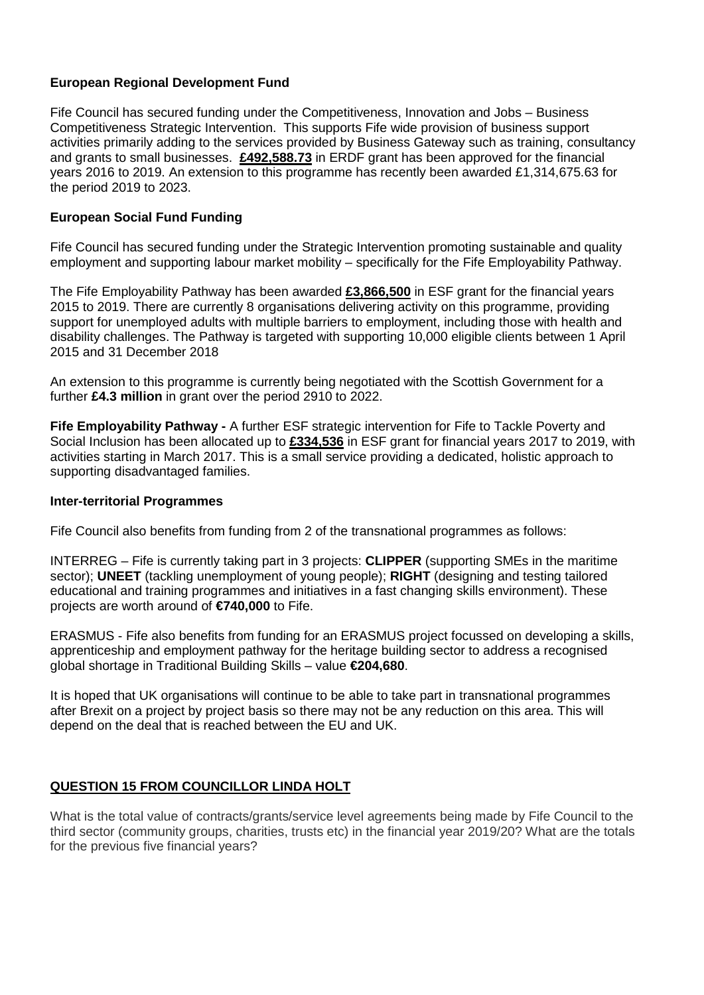### **European Regional Development Fund**

Fife Council has secured funding under the Competitiveness, Innovation and Jobs – Business Competitiveness Strategic Intervention. This supports Fife wide provision of business support activities primarily adding to the services provided by Business Gateway such as training, consultancy and grants to small businesses. **£492,588.73** in ERDF grant has been approved for the financial years 2016 to 2019. An extension to this programme has recently been awarded £1,314,675.63 for the period 2019 to 2023.

### **European Social Fund Funding**

Fife Council has secured funding under the Strategic Intervention promoting sustainable and quality employment and supporting labour market mobility – specifically for the Fife Employability Pathway.

The Fife Employability Pathway has been awarded **£3,866,500** in ESF grant for the financial years 2015 to 2019. There are currently 8 organisations delivering activity on this programme, providing support for unemployed adults with multiple barriers to employment, including those with health and disability challenges. The Pathway is targeted with supporting 10,000 eligible clients between 1 April 2015 and 31 December 2018

An extension to this programme is currently being negotiated with the Scottish Government for a further **£4.3 million** in grant over the period 2910 to 2022.

**Fife Employability Pathway -** A further ESF strategic intervention for Fife to Tackle Poverty and Social Inclusion has been allocated up to **£334,536** in ESF grant for financial years 2017 to 2019, with activities starting in March 2017. This is a small service providing a dedicated, holistic approach to supporting disadvantaged families.

#### **Inter-territorial Programmes**

Fife Council also benefits from funding from 2 of the transnational programmes as follows:

INTERREG – Fife is currently taking part in 3 projects: **CLIPPER** (supporting SMEs in the maritime sector); **UNEET** (tackling unemployment of young people); **RIGHT** (designing and testing tailored educational and training programmes and initiatives in a fast changing skills environment). These projects are worth around of **€740,000** to Fife.

ERASMUS - Fife also benefits from funding for an ERASMUS project focussed on developing a skills, apprenticeship and employment pathway for the heritage building sector to address a recognised global shortage in Traditional Building Skills – value **€204,680**.

It is hoped that UK organisations will continue to be able to take part in transnational programmes after Brexit on a project by project basis so there may not be any reduction on this area. This will depend on the deal that is reached between the EU and UK.

### **QUESTION 15 FROM COUNCILLOR LINDA HOLT**

What is the total value of contracts/grants/service level agreements being made by Fife Council to the third sector (community groups, charities, trusts etc) in the financial year 2019/20? What are the totals for the previous five financial years?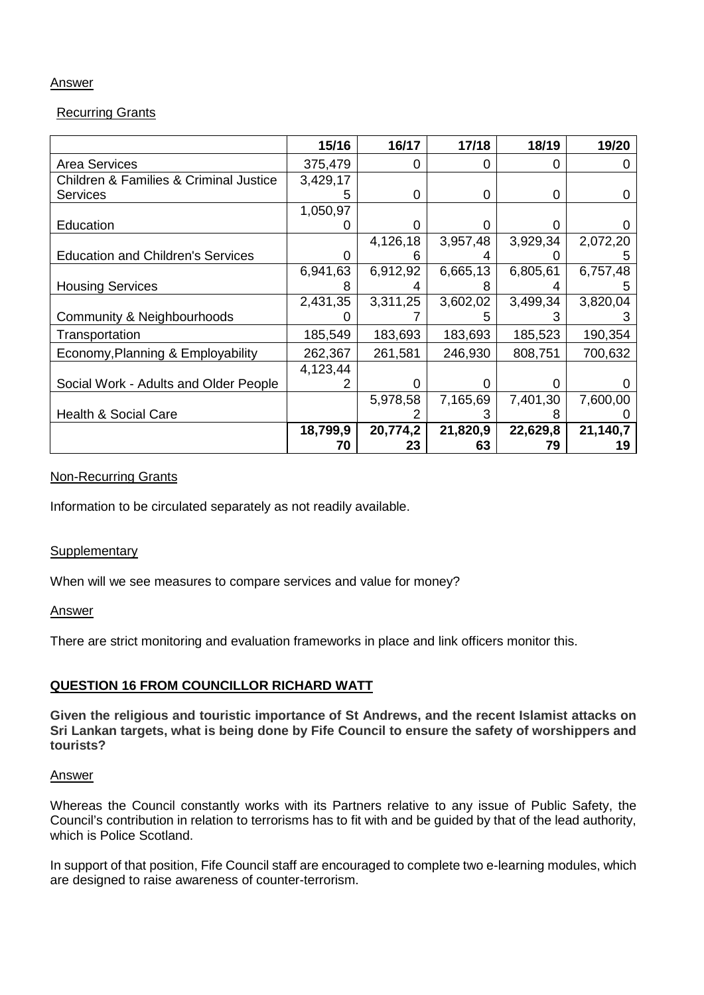### **Answer**

### Recurring Grants

|                                                       | 15/16    | 16/17    | 17/18    | 18/19    | 19/20    |
|-------------------------------------------------------|----------|----------|----------|----------|----------|
| <b>Area Services</b>                                  | 375,479  | 0        | 0        | 0        |          |
| <b>Children &amp; Families &amp; Criminal Justice</b> | 3,429,17 |          |          |          |          |
| <b>Services</b>                                       | 5        | 0        | 0        | 0        | 0        |
|                                                       | 1,050,97 |          |          |          |          |
| Education                                             |          | 0        | ი        | O        |          |
|                                                       |          | 4,126,18 | 3,957,48 | 3,929,34 | 2,072,20 |
| <b>Education and Children's Services</b>              | O        |          |          |          |          |
|                                                       | 6,941,63 | 6,912,92 | 6,665,13 | 6,805,61 | 6,757,48 |
| <b>Housing Services</b>                               |          |          | 8        |          |          |
|                                                       | 2,431,35 | 3,311,25 | 3,602,02 | 3,499,34 | 3,820,04 |
| Community & Neighbourhoods                            |          |          |          |          |          |
| Transportation                                        | 185,549  | 183,693  | 183,693  | 185,523  | 190,354  |
| Economy, Planning & Employability                     | 262,367  | 261,581  | 246,930  | 808,751  | 700,632  |
|                                                       | 4,123,44 |          |          |          |          |
| Social Work - Adults and Older People                 |          |          |          |          |          |
|                                                       |          | 5,978,58 | 7,165,69 | 7,401,30 | 7,600,00 |
| <b>Health &amp; Social Care</b>                       |          |          |          | 8        |          |
|                                                       | 18,799,9 | 20,774,2 | 21,820,9 | 22,629,8 | 21,140,7 |
|                                                       | 70       | 23       | 63       | 79       | 19       |

#### Non-Recurring Grants

Information to be circulated separately as not readily available.

#### **Supplementary**

When will we see measures to compare services and value for money?

#### **Answer**

There are strict monitoring and evaluation frameworks in place and link officers monitor this.

### **QUESTION 16 FROM COUNCILLOR RICHARD WATT**

**Given the religious and touristic importance of St Andrews, and the recent Islamist attacks on Sri Lankan targets, what is being done by Fife Council to ensure the safety of worshippers and tourists?**

#### Answer

Whereas the Council constantly works with its Partners relative to any issue of Public Safety, the Council's contribution in relation to terrorisms has to fit with and be guided by that of the lead authority, which is Police Scotland.

In support of that position, Fife Council staff are encouraged to complete two e-learning modules, which are designed to raise awareness of counter-terrorism.